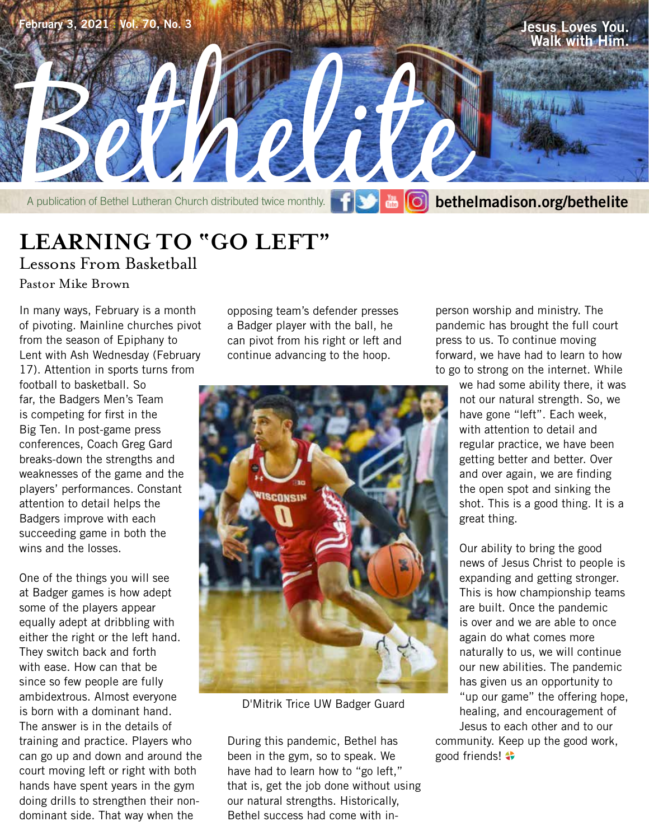

**LEARNING TO "GO LEFT"**

Lessons From Basketball

Pastor Mike Brown

In many ways, February is a month of pivoting. Mainline churches pivot from the season of Epiphany to Lent with Ash Wednesday (February 17). Attention in sports turns from football to basketball. So far, the Badgers Men's Team is competing for first in the Big Ten. In post-game press conferences, Coach Greg Gard breaks-down the strengths and weaknesses of the game and the players' performances. Constant attention to detail helps the Badgers improve with each succeeding game in both the wins and the losses.

One of the things you will see at Badger games is how adept some of the players appear equally adept at dribbling with either the right or the left hand. They switch back and forth with ease. How can that be since so few people are fully ambidextrous. Almost everyone is born with a dominant hand. The answer is in the details of training and practice. Players who can go up and down and around the court moving left or right with both hands have spent years in the gym doing drills to strengthen their nondominant side. That way when the

opposing team's defender presses a Badger player with the ball, he can pivot from his right or left and continue advancing to the hoop.



D'Mitrik Trice UW Badger Guard

During this pandemic, Bethel has been in the gym, so to speak. We have had to learn how to "go left," that is, get the job done without using our natural strengths. Historically, Bethel success had come with in-

person worship and ministry. The pandemic has brought the full court press to us. To continue moving forward, we have had to learn to how to go to strong on the internet. While

> we had some ability there, it was not our natural strength. So, we have gone "left". Each week, with attention to detail and regular practice, we have been getting better and better. Over and over again, we are finding the open spot and sinking the shot. This is a good thing. It is a great thing.

> Our ability to bring the good news of Jesus Christ to people is expanding and getting stronger. This is how championship teams are built. Once the pandemic is over and we are able to once again do what comes more naturally to us, we will continue our new abilities. The pandemic has given us an opportunity to "up our game" the offering hope, healing, and encouragement of Jesus to each other and to our

community. Keep up the good work, good friends!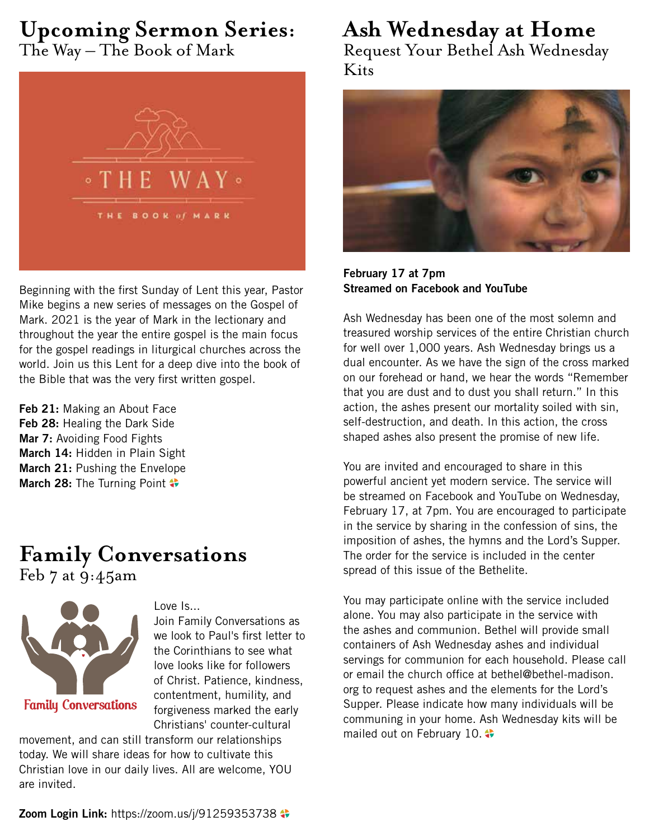# **Upcoming Sermon Series:** The Way – The Book of Mark



Beginning with the first Sunday of Lent this year, Pastor Mike begins a new series of messages on the Gospel of Mark. 2021 is the year of Mark in the lectionary and throughout the year the entire gospel is the main focus for the gospel readings in liturgical churches across the world. Join us this Lent for a deep dive into the book of the Bible that was the very first written gospel.

**Feb 21:** Making an About Face **Feb 28:** Healing the Dark Side **Mar 7:** Avoiding Food Fights **March 14:** Hidden in Plain Sight **March 21:** Pushing the Envelope **March 28:** The Turning Point

# **Family Conversations** Feb 7 at 9:45am



Love Is...

Join Family Conversations as we look to Paul's first letter to the Corinthians to see what love looks like for followers of Christ. Patience, kindness, contentment, humility, and forgiveness marked the early Christians' counter-cultural

movement, and can still transform our relationships today. We will share ideas for how to cultivate this Christian love in our daily lives. All are welcome, YOU are invited.

**Ash Wednesday at Home** Request Your Bethel Ash Wednesday Kits



**February 17 at 7pm Streamed on Facebook and YouTube**

Ash Wednesday has been one of the most solemn and treasured worship services of the entire Christian church for well over 1,000 years. Ash Wednesday brings us a dual encounter. As we have the sign of the cross marked on our forehead or hand, we hear the words "Remember that you are dust and to dust you shall return." In this action, the ashes present our mortality soiled with sin, self-destruction, and death. In this action, the cross shaped ashes also present the promise of new life.

You are invited and encouraged to share in this powerful ancient yet modern service. The service will be streamed on Facebook and YouTube on Wednesday, February 17, at 7pm. You are encouraged to participate in the service by sharing in the confession of sins, the imposition of ashes, the hymns and the Lord's Supper. The order for the service is included in the center spread of this issue of the Bethelite.

You may participate online with the service included alone. You may also participate in the service with the ashes and communion. Bethel will provide small containers of Ash Wednesday ashes and individual servings for communion for each household. Please call or email the church office at bethel@bethel-madison. org to request ashes and the elements for the Lord's Supper. Please indicate how many individuals will be communing in your home. Ash Wednesday kits will be mailed out on February 10. ♦

**Zoom Login Link:** https://zoom.us/j/91259353738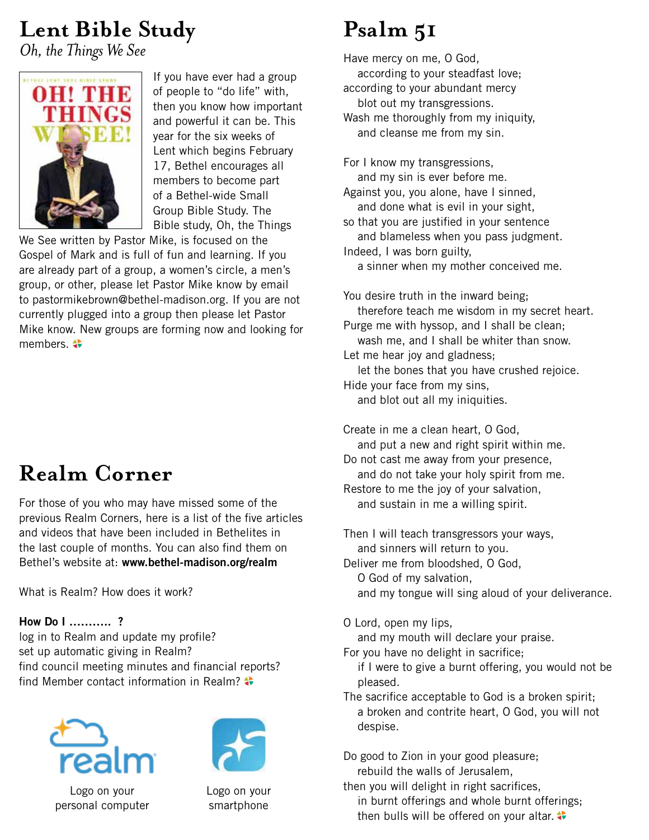# **Lent Bible Study**

*Oh, the Things We See*



If you have ever had a group of people to "do life" with, then you know how important and powerful it can be. This year for the six weeks of Lent which begins February 17, Bethel encourages all members to become part of a Bethel-wide Small Group Bible Study. The Bible study, Oh, the Things

We See written by Pastor Mike, is focused on the Gospel of Mark and is full of fun and learning. If you are already part of a group, a women's circle, a men's group, or other, please let Pastor Mike know by email to pastormikebrown@bethel-madison.org. If you are not currently plugged into a group then please let Pastor Mike know. New groups are forming now and looking for members.  $\clubsuit$ 

# **Realm Corner**

For those of you who may have missed some of the previous Realm Corners, here is a list of the five articles and videos that have been included in Bethelites in the last couple of months. You can also find them on Bethel's website at: **www.bethel-madison.org/realm**

What is Realm? How does it work?

## **How Do I ……….. ?**

log in to Realm and update my profile? set up automatic giving in Realm? find council meeting minutes and financial reports? find Member contact information in Realm?





Logo on your personal computer

Logo on your smartphone

# **Psalm 51**

Have mercy on me, O God, according to your steadfast love; according to your abundant mercy blot out my transgressions. Wash me thoroughly from my iniquity, and cleanse me from my sin.

For I know my transgressions, and my sin is ever before me. Against you, you alone, have I sinned, and done what is evil in your sight, so that you are justified in your sentence and blameless when you pass judgment. Indeed, I was born guilty, a sinner when my mother conceived me.

You desire truth in the inward being; therefore teach me wisdom in my secret heart. Purge me with hyssop, and I shall be clean; wash me, and I shall be whiter than snow. Let me hear joy and gladness; let the bones that you have crushed rejoice. Hide your face from my sins, and blot out all my iniquities.

Create in me a clean heart, O God, and put a new and right spirit within me. Do not cast me away from your presence, and do not take your holy spirit from me. Restore to me the joy of your salvation,

and sustain in me a willing spirit.

Then I will teach transgressors your ways, and sinners will return to you. Deliver me from bloodshed, O God,

O God of my salvation,

and my tongue will sing aloud of your deliverance.

O Lord, open my lips,

and my mouth will declare your praise.

For you have no delight in sacrifice;

 if I were to give a burnt offering, you would not be pleased.

The sacrifice acceptable to God is a broken spirit; a broken and contrite heart, O God, you will not despise.

Do good to Zion in your good pleasure; rebuild the walls of Jerusalem,

then you will delight in right sacrifices, in burnt offerings and whole burnt offerings; then bulls will be offered on your altar.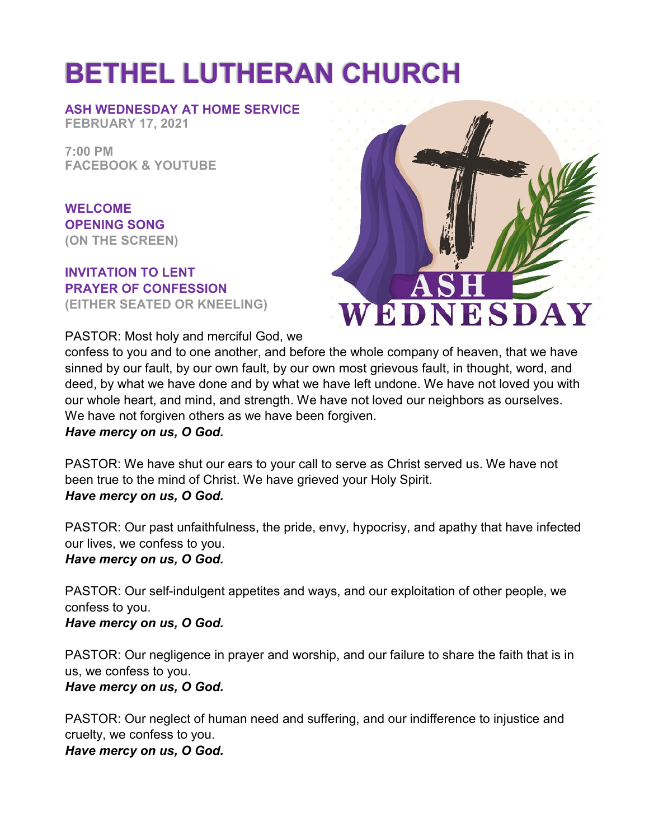# **BETHEL LUTHERAN CHURCH**

**ASH WEDNESDAY AT HOME SERVICE FEBRUARY 17, 2021**

**7:00 PM FACEBOOK & YOUTUBE**

**WELCOME OPENING SONG (ON THE SCREEN)**

#### **INVITATION TO LENT PRAYER OF CONFESSION (EITHER SEATED OR KNEELING)**

PASTOR: Most holy and merciful God, we



confess to you and to one another, and before the whole company of heaven, that we have sinned by our fault, by our own fault, by our own most grievous fault, in thought, word, and deed, by what we have done and by what we have left undone. We have not loved you with our whole heart, and mind, and strength. We have not loved our neighbors as ourselves. We have not forgiven others as we have been forgiven. *Have mercy on us, O God.*

PASTOR: We have shut our ears to your call to serve as Christ served us. We have not been true to the mind of Christ. We have grieved your Holy Spirit. *Have mercy on us, O God.*

PASTOR: Our past unfaithfulness, the pride, envy, hypocrisy, and apathy that have infected our lives, we confess to you. *Have mercy on us, O God.*

PASTOR: Our self-indulgent appetites and ways, and our exploitation of other people, we confess to you.

*Have mercy on us, O God.*

PASTOR: Our negligence in prayer and worship, and our failure to share the faith that is in us, we confess to you. *Have mercy on us, O God.*

PASTOR: Our neglect of human need and suffering, and our indifference to injustice and cruelty, we confess to you. *Have mercy on us, O God.*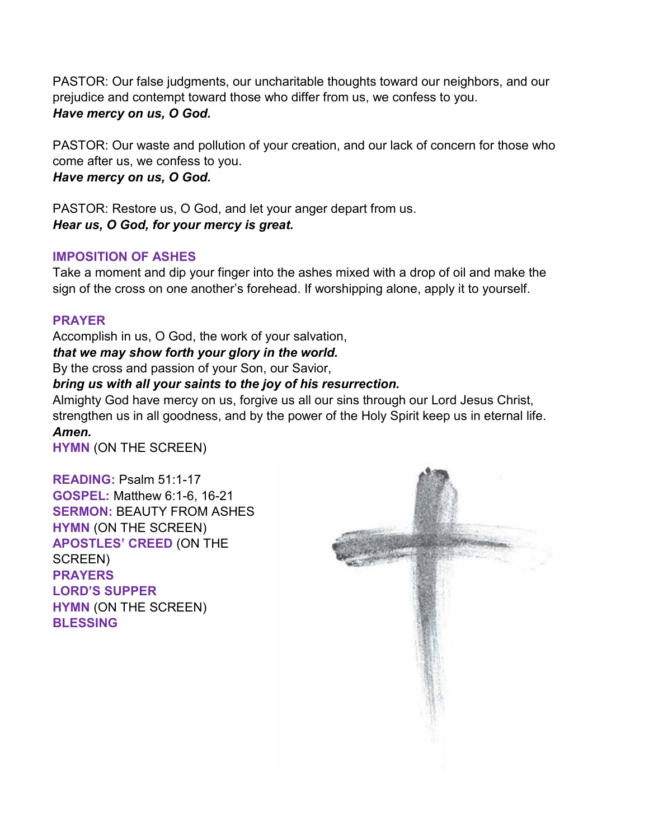PASTOR: Our false judgments, our uncharitable thoughts toward our neighbors, and our prejudice and contempt toward those who differ from us, we confess to you. *Have mercy on us, O God.*

PASTOR: Our waste and pollution of your creation, and our lack of concern for those who come after us, we confess to you. *Have mercy on us, O God.*

PASTOR: Restore us, O God, and let your anger depart from us. *Hear us, O God, for your mercy is great.*

# **IMPOSITION OF ASHES**

Take a moment and dip your finger into the ashes mixed with a drop of oil and make the sign of the cross on one another's forehead. If worshipping alone, apply it to yourself.

# **PRAYER**

Accomplish in us, O God, the work of your salvation, *that we may show forth your glory in the world.*

By the cross and passion of your Son, our Savior,

# *bring us with all your saints to the joy of his resurrection.*

Almighty God have mercy on us, forgive us all our sins through our Lord Jesus Christ, strengthen us in all goodness, and by the power of the Holy Spirit keep us in eternal life. *Amen.*

**HYMN** (ON THE SCREEN)

**READING:** Psalm 51:1-17 **GOSPEL:** Matthew 6:1-6, 16-21 **SERMON:** BEAUTY FROM ASHES **HYMN** (ON THE SCREEN) **APOSTLES' CREED** (ON THE SCREEN) **PRAYERS LORD'S SUPPER HYMN** (ON THE SCREEN) **BLESSING**

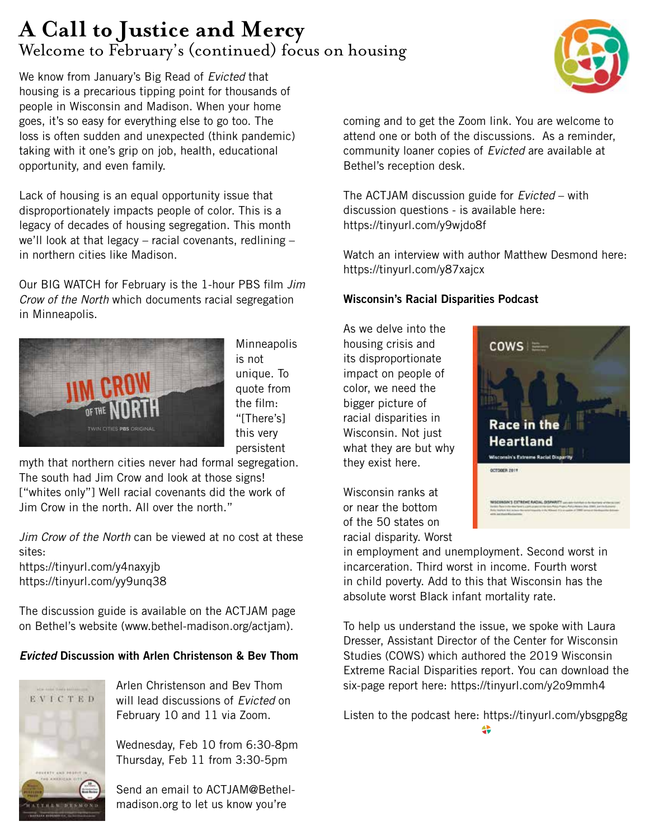# **A Call to Justice and Mercy** Welcome to February's (continued) focus on housing

We know from January's Big Read of *Evicted* that housing is a precarious tipping point for thousands of people in Wisconsin and Madison. When your home goes, it's so easy for everything else to go too. The loss is often sudden and unexpected (think pandemic) taking with it one's grip on job, health, educational opportunity, and even family.

Lack of housing is an equal opportunity issue that disproportionately impacts people of color. This is a legacy of decades of housing segregation. This month we'll look at that legacy – racial covenants, redlining  $$ in northern cities like Madison.

Our BIG WATCH for February is the 1-hour PBS film *Jim Crow of the North* which documents racial segregation in Minneapolis.



**Minneapolis** is not unique. To quote from the film: "[There's] this very persistent

myth that northern cities never had formal segregation. The south had Jim Crow and look at those signs! ["whites only"] Well racial covenants did the work of Jim Crow in the north. All over the north."

*Jim Crow of the North* can be viewed at no cost at these sites:

https://tinyurl.com/y4naxyjb https://tinyurl.com/yy9unq38

The discussion guide is available on the ACTJAM page on Bethel's website (www.bethel-madison.org/actjam).

# *Evicted* **Discussion with Arlen Christenson & Bev Thom**



Arlen Christenson and Bev Thom will lead discussions of *Evicted* on February 10 and 11 via Zoom.

Wednesday, Feb 10 from 6:30-8pm Thursday, Feb 11 from 3:30-5pm

Send an email to ACTJAM@Bethelmadison.org to let us know you're

coming and to get the Zoom link. You are welcome to attend one or both of the discussions. As a reminder, community loaner copies of *Evicted* are available at Bethel's reception desk.

The ACTJAM discussion guide for *Evicted* – with discussion questions - is available here: https://tinyurl.com/y9wjdo8f

Watch an interview with author Matthew Desmond here: https://tinyurl.com/y87xajcx

## **Wisconsin's Racial Disparities Podcast**

As we delve into the housing crisis and its disproportionate impact on people of color, we need the bigger picture of racial disparities in Wisconsin. Not just what they are but why they exist here.

Wisconsin ranks at or near the bottom of the 50 states on racial disparity. Worst

 $cows =$ **Race in the Heartland** Wisconsin's Extreme Racial O OCTOBER 2019

in employment and unemployment. Second worst in incarceration. Third worst in income. Fourth worst in child poverty. Add to this that Wisconsin has the absolute worst Black infant mortality rate.

To help us understand the issue, we spoke with Laura Dresser, Assistant Director of the Center for Wisconsin Studies (COWS) which authored the 2019 Wisconsin Extreme Racial Disparities report. You can download the six-page report here: https://tinyurl.com/y2o9mmh4

Listen to the podcast here: https://tinyurl.com/ybsgpg8g

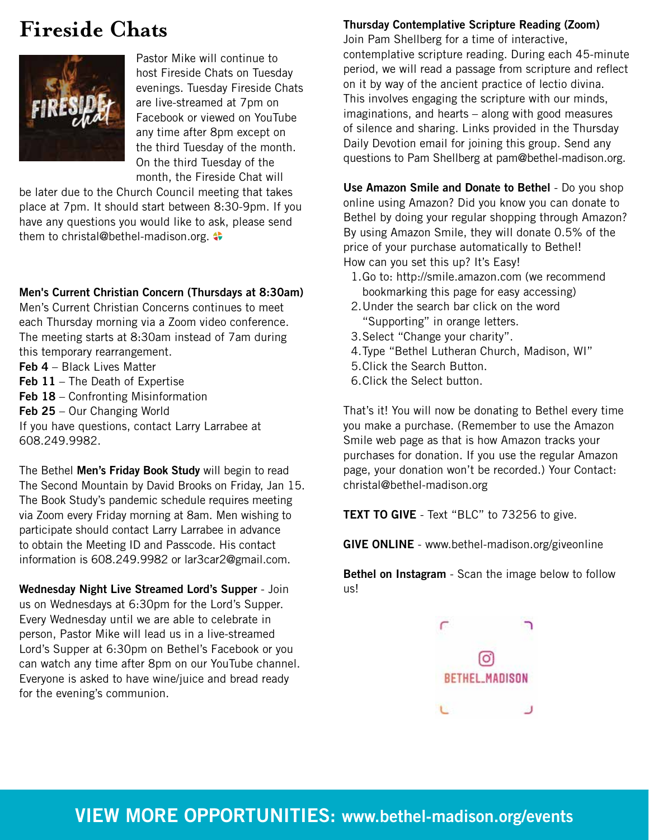# **Fireside Chats**



Pastor Mike will continue to host Fireside Chats on Tuesday evenings. Tuesday Fireside Chats are live-streamed at 7pm on Facebook or viewed on YouTube any time after 8pm except on the third Tuesday of the month. On the third Tuesday of the month, the Fireside Chat will

be later due to the Church Council meeting that takes place at 7pm. It should start between 8:30-9pm. If you have any questions you would like to ask, please send them to christal@bethel-madison.org.

## **Men's Current Christian Concern (Thursdays at 8:30am)**

Men's Current Christian Concerns continues to meet each Thursday morning via a Zoom video conference. The meeting starts at 8:30am instead of 7am during this temporary rearrangement.

**Feb 4** – Black Lives Matter

- **Feb 11** The Death of Expertise
- **Feb 18** Confronting Misinformation
- **Feb 25** Our Changing World

If you have questions, contact Larry Larrabee at 608.249.9982.

The Bethel **Men's Friday Book Study** will begin to read The Second Mountain by David Brooks on Friday, Jan 15. The Book Study's pandemic schedule requires meeting via Zoom every Friday morning at 8am. Men wishing to participate should contact Larry Larrabee in advance to obtain the Meeting ID and Passcode. His contact information is 608.249.9982 or lar3car2@gmail.com.

**Wednesday Night Live Streamed Lord's Supper** - Join us on Wednesdays at 6:30pm for the Lord's Supper. Every Wednesday until we are able to celebrate in person, Pastor Mike will lead us in a live-streamed Lord's Supper at 6:30pm on Bethel's Facebook or you can watch any time after 8pm on our YouTube channel. Everyone is asked to have wine/juice and bread ready for the evening's communion.

## **Thursday Contemplative Scripture Reading (Zoom)**

Join Pam Shellberg for a time of interactive, contemplative scripture reading. During each 45-minute period, we will read a passage from scripture and reflect on it by way of the ancient practice of lectio divina. This involves engaging the scripture with our minds, imaginations, and hearts – along with good measures of silence and sharing. Links provided in the Thursday Daily Devotion email for joining this group. Send any questions to Pam Shellberg at pam@bethel-madison.org.

**Use Amazon Smile and Donate to Bethel** - Do you shop online using Amazon? Did you know you can donate to Bethel by doing your regular shopping through Amazon? By using Amazon Smile, they will donate 0.5% of the price of your purchase automatically to Bethel! How can you set this up? It's Easy!

- 1.Go to: http://smile.amazon.com (we recommend bookmarking this page for easy accessing)
- 2.Under the search bar click on the word "Supporting" in orange letters.
- 3.Select "Change your charity".
- 4.Type "Bethel Lutheran Church, Madison, WI"
- 5.Click the Search Button.
- 6.Click the Select button.

That's it! You will now be donating to Bethel every time you make a purchase. (Remember to use the Amazon Smile web page as that is how Amazon tracks your purchases for donation. If you use the regular Amazon page, your donation won't be recorded.) Your Contact: christal@bethel-madison.org

**TEXT TO GIVE** - Text "BLC" to 73256 to give.

**GIVE ONLINE** - www.bethel-madison.org/giveonline

**Bethel on Instagram** - Scan the image below to follow us!